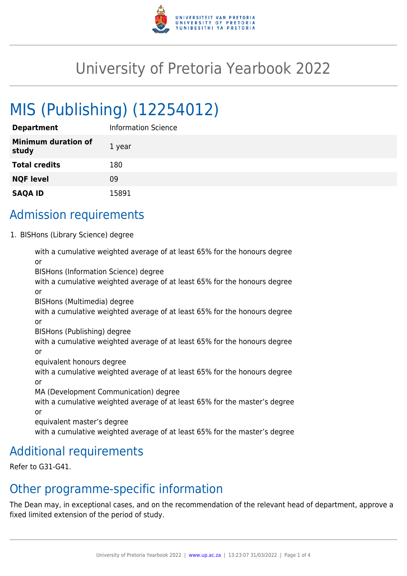

# University of Pretoria Yearbook 2022

# MIS (Publishing) (12254012)

| <b>Department</b>                   | Information Science |
|-------------------------------------|---------------------|
| <b>Minimum duration of</b><br>study | 1 year              |
| <b>Total credits</b>                | 180                 |
| <b>NQF level</b>                    | 09                  |
| <b>SAQA ID</b>                      | 15891               |

## Admission requirements

1. BISHons (Library Science) degree

with a cumulative weighted average of at least 65% for the honours degree or BISHons (Information Science) degree with a cumulative weighted average of at least 65% for the honours degree or BISHons (Multimedia) degree with a cumulative weighted average of at least 65% for the honours degree or BISHons (Publishing) degree with a cumulative weighted average of at least 65% for the honours degree or equivalent honours degree with a cumulative weighted average of at least 65% for the honours degree or MA (Development Communication) degree with a cumulative weighted average of at least 65% for the master's degree or equivalent master's degree with a cumulative weighted average of at least 65% for the master's degree

## Additional requirements

Refer to G31-G41.

### Other programme-specific information

The Dean may, in exceptional cases, and on the recommendation of the relevant head of department, approve a fixed limited extension of the period of study.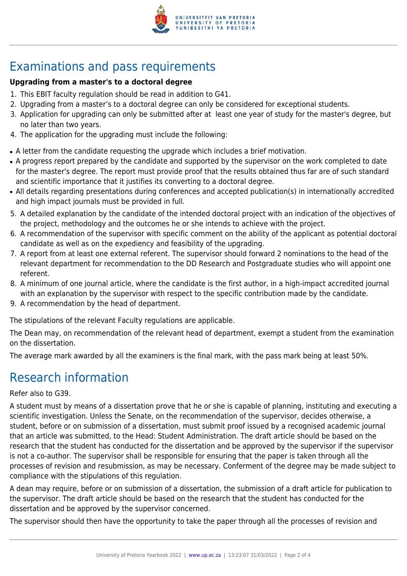

## Examinations and pass requirements

### **Upgrading from a master's to a doctoral degree**

- 1. This EBIT faculty regulation should be read in addition to G41.
- 2. Upgrading from a master's to a doctoral degree can only be considered for exceptional students.
- 3. Application for upgrading can only be submitted after at least one year of study for the master's degree, but no later than two years.
- 4. The application for the upgrading must include the following:
- A letter from the candidate requesting the upgrade which includes a brief motivation.
- A progress report prepared by the candidate and supported by the supervisor on the work completed to date for the master's degree. The report must provide proof that the results obtained thus far are of such standard and scientific importance that it justifies its converting to a doctoral degree.
- All details regarding presentations during conferences and accepted publication(s) in internationally accredited and high impact journals must be provided in full.
- 5. A detailed explanation by the candidate of the intended doctoral project with an indication of the objectives of the project, methodology and the outcomes he or she intends to achieve with the project.
- 6. A recommendation of the supervisor with specific comment on the ability of the applicant as potential doctoral candidate as well as on the expediency and feasibility of the upgrading.
- 7. A report from at least one external referent. The supervisor should forward 2 nominations to the head of the relevant department for recommendation to the DD Research and Postgraduate studies who will appoint one referent.
- 8. A minimum of one journal article, where the candidate is the first author, in a high-impact accredited journal with an explanation by the supervisor with respect to the specific contribution made by the candidate.
- 9. A recommendation by the head of department.

The stipulations of the relevant Faculty regulations are applicable.

The Dean may, on recommendation of the relevant head of department, exempt a student from the examination on the dissertation.

The average mark awarded by all the examiners is the final mark, with the pass mark being at least 50%.

## Research information

### Refer also to G39.

A student must by means of a dissertation prove that he or she is capable of planning, instituting and executing a scientific investigation. Unless the Senate, on the recommendation of the supervisor, decides otherwise, a student, before or on submission of a dissertation, must submit proof issued by a recognised academic journal that an article was submitted, to the Head: Student Administration. The draft article should be based on the research that the student has conducted for the dissertation and be approved by the supervisor if the supervisor is not a co-author. The supervisor shall be responsible for ensuring that the paper is taken through all the processes of revision and resubmission, as may be necessary. Conferment of the degree may be made subject to compliance with the stipulations of this regulation.

A dean may require, before or on submission of a dissertation, the submission of a draft article for publication to the supervisor. The draft article should be based on the research that the student has conducted for the dissertation and be approved by the supervisor concerned.

The supervisor should then have the opportunity to take the paper through all the processes of revision and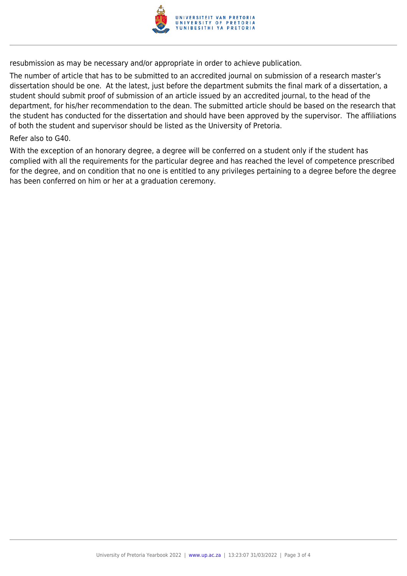

resubmission as may be necessary and/or appropriate in order to achieve publication.

The number of article that has to be submitted to an accredited journal on submission of a research master's dissertation should be one. At the latest, just before the department submits the final mark of a dissertation, a student should submit proof of submission of an article issued by an accredited journal, to the head of the department, for his/her recommendation to the dean. The submitted article should be based on the research that the student has conducted for the dissertation and should have been approved by the supervisor. The affiliations of both the student and supervisor should be listed as the University of Pretoria.

#### Refer also to G40.

With the exception of an honorary degree, a degree will be conferred on a student only if the student has complied with all the requirements for the particular degree and has reached the level of competence prescribed for the degree, and on condition that no one is entitled to any privileges pertaining to a degree before the degree has been conferred on him or her at a graduation ceremony.